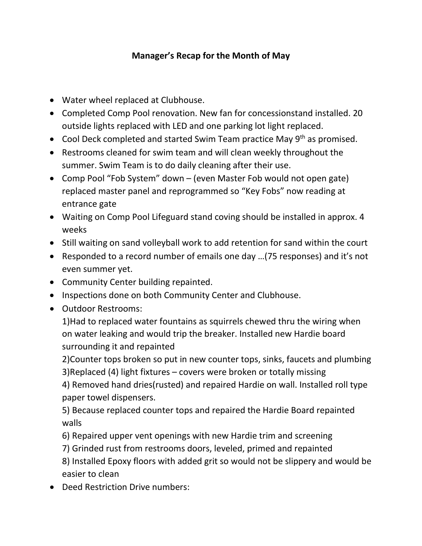## **Manager's Recap for the Month of May**

- Water wheel replaced at Clubhouse.
- Completed Comp Pool renovation. New fan for concessionstand installed. 20 outside lights replaced with LED and one parking lot light replaced.
- Cool Deck completed and started Swim Team practice May 9<sup>th</sup> as promised.
- Restrooms cleaned for swim team and will clean weekly throughout the summer. Swim Team is to do daily cleaning after their use.
- Comp Pool "Fob System" down (even Master Fob would not open gate) replaced master panel and reprogrammed so "Key Fobs" now reading at entrance gate
- Waiting on Comp Pool Lifeguard stand coving should be installed in approx. 4 weeks
- Still waiting on sand volleyball work to add retention for sand within the court
- Responded to a record number of emails one day …(75 responses) and it's not even summer yet.
- Community Center building repainted.
- Inspections done on both Community Center and Clubhouse.
- Outdoor Restrooms:

1)Had to replaced water fountains as squirrels chewed thru the wiring when on water leaking and would trip the breaker. Installed new Hardie board surrounding it and repainted

2)Counter tops broken so put in new counter tops, sinks, faucets and plumbing

3)Replaced (4) light fixtures – covers were broken or totally missing

4) Removed hand dries(rusted) and repaired Hardie on wall. Installed roll type paper towel dispensers.

5) Because replaced counter tops and repaired the Hardie Board repainted walls

6) Repaired upper vent openings with new Hardie trim and screening

7) Grinded rust from restrooms doors, leveled, primed and repainted 8) Installed Epoxy floors with added grit so would not be slippery and would be easier to clean

• Deed Restriction Drive numbers: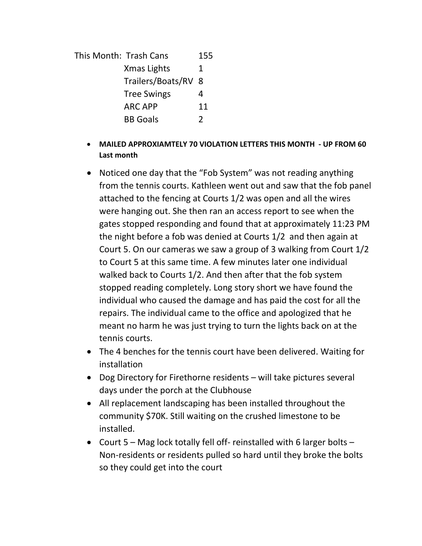This Month: Trash Cans 155 Xmas Lights 1 Trailers/Boats/RV 8 Tree Swings 4 ARC APP 11 BB Goals 2

- **MAILED APPROXIAMTELY 70 VIOLATION LETTERS THIS MONTH - UP FROM 60 Last month**
- Noticed one day that the "Fob System" was not reading anything from the tennis courts. Kathleen went out and saw that the fob panel attached to the fencing at Courts 1/2 was open and all the wires were hanging out. She then ran an access report to see when the gates stopped responding and found that at approximately 11:23 PM the night before a fob was denied at Courts 1/2 and then again at Court 5. On our cameras we saw a group of 3 walking from Court 1/2 to Court 5 at this same time. A few minutes later one individual walked back to Courts 1/2. And then after that the fob system stopped reading completely. Long story short we have found the individual who caused the damage and has paid the cost for all the repairs. The individual came to the office and apologized that he meant no harm he was just trying to turn the lights back on at the tennis courts.
- The 4 benches for the tennis court have been delivered. Waiting for installation
- Dog Directory for Firethorne residents will take pictures several days under the porch at the Clubhouse
- All replacement landscaping has been installed throughout the community \$70K. Still waiting on the crushed limestone to be installed.
- Court 5 Mag lock totally fell off- reinstalled with 6 larger bolts Non-residents or residents pulled so hard until they broke the bolts so they could get into the court